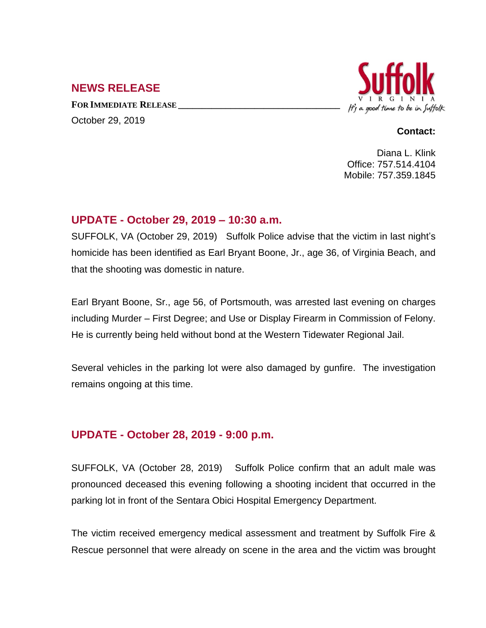# **NEWS RELEASE**

**FOR IMMEDIATE RELEASE \_\_\_\_\_\_\_\_\_\_\_\_\_\_\_\_\_\_\_\_\_\_\_\_\_\_\_\_\_\_\_\_\_\_** October 29, 2019



#### **Contact:**

Diana L. Klink Office: 757.514.4104 Mobile: 757.359.1845

# **UPDATE - October 29, 2019 – 10:30 a.m.**

SUFFOLK, VA (October 29, 2019) Suffolk Police advise that the victim in last night's homicide has been identified as Earl Bryant Boone, Jr., age 36, of Virginia Beach, and that the shooting was domestic in nature.

Earl Bryant Boone, Sr., age 56, of Portsmouth, was arrested last evening on charges including Murder – First Degree; and Use or Display Firearm in Commission of Felony. He is currently being held without bond at the Western Tidewater Regional Jail.

Several vehicles in the parking lot were also damaged by gunfire. The investigation remains ongoing at this time.

# **UPDATE - October 28, 2019 - 9:00 p.m.**

SUFFOLK, VA (October 28, 2019) Suffolk Police confirm that an adult male was pronounced deceased this evening following a shooting incident that occurred in the parking lot in front of the Sentara Obici Hospital Emergency Department.

The victim received emergency medical assessment and treatment by Suffolk Fire & Rescue personnel that were already on scene in the area and the victim was brought